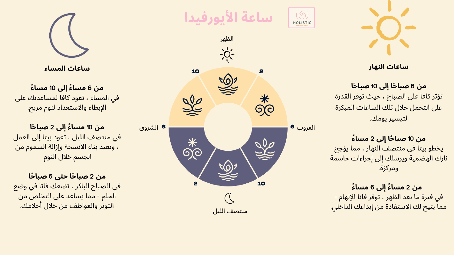#### **ساعات النهار**

## **حا حا إلى** 10 **صبا ً من** 6 **صبا ً** تؤثر كافا على الصباح ، حيث توفر القدرة على التحمل خلال تلك الساعات المبكرة لتيسير يومك.

### **ء حا إلى** 2 **مسا ً من** 10 **صبا ً**

يخطو بيتا في منتصف النهار ، مما يؤجج نارك الهضمية ويرسلك إلى إجراءات حاسمة ومركزة.

## **ء ء إلى** 6 **مسا ً من** 2 **مسا ً** في فترة ما بعد الظهر ، توفر فاتا الإلهام - مما يتيح لك الاستفادة من إبداعك الداخلي.



**ساعات المساء**

**ء ء إلى** 10 **مسا ً من** 6 **مسا ً** في المساء ، تعود كافا لمساعدتك على الإبطاء والاستعداد لنوم مريح.

**حا ء إلى** 2 **صبا ً من** 10 **مسا ً** في منتصف الليل ، تعود بيتا إلى العمل ، وتعيد بناء الأنسجة وإزالة السموم من الجسم خلال النوم.

**حا حا حتى** 6 **صبا ً من** 2 **صبا ً** في الصباح الباكر ، تضعك فاتا في وضع الحلم - مما يساعد على التخلص من التوتر والعواطف من خلال أحلامك.